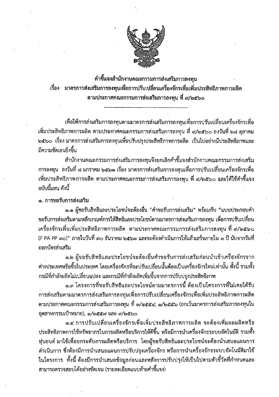

คำขึ้แจงสำนักงานคณะกรรมการส่งเสริมการลงทุน เรื่อง มาตรการส่งเสริมการลงทุนเพื่อการปรับเปลี่ยนเครื่องจักรเพื่อเพิ่มประสิทธิภาพการผลิต ตามประกาศคณะกรรมการส่งเสริมการลงทุน ที่ ๙∕๒๕๖๐

เพื่อให้การส่งเสริมการลงทุนตามมาตรการส่งเสริมการลงทุนเพื่อการปรับเปลี่ยนเครื่องจักรเพื่อ เพิ่มประสิทธิภาพการผลิต ตามประกาศคณะกรรมการส่งเสริมการลงทุน ที่ ๙/๒๕๖๐ ลงวันที่ ๒๘ ตุลาคม ็๒๕๖๐ เรื่อง มาตรการส่งเสริมการลงทุนเพื่อปรับปรุงประสิทธิภาพการผลิต เป็นไปอย่างมีประสิทธิภาพและ มีความชัดเจนยิ่งขึ้น

สำนักงานคณะกรรมการส่งเสริมการลงทุนจึงยกเลิกคำขี้แจงสำนักงานคณะกรรมการส่งเสริม การลงทุน ลงวันที่ ๘ มกราคม ๒๕๖๑ เรื่อง มาตรการส่งเสริมการลงทุนเพื่อการปรับเปลี่ยนเครื่องจักรเพื่อ เพิ่มประสิทธิภาพการผลิต ตามประกาศคณะกรรมการส่งเสริมการลงทุน ที่ ๙/๒๕๖๐ และให้ใช้คำชี้แจง ฉบับนี้แทน ดังนี้

๑. การขอรับการส่งเสริม

๑.๑ ผู้ขอรับสิทธิและประโยชน์จะต้องยื่น "คำขอรับการส่งเสริม" พร้อมกับ "แบบประกอบคำ ขอรับการส่งเสริมตามหลักเกณฑ์การให้สิทธิและประโยชน์ตามมาตรการส่งเสริมการลงทุน เพื่อการปรับเปลี่ยน เครื่องจักรเพื่อเพิ่มประสิทธิภาพการผลิต ตามประกาศคณะกรรมการส่งเสริมการลงทุน ที่ ๙/๒๕๖๐ (F PA PP ๓๐)" ภายในวันที่ ๓๐ ธันวาคม ๒๕๖๓ และจะต้องดำเนินการให้แล้วเสร็จภายใน ๓ ปี นับจากวันที่ ออกบัตรส่งเสริม

๑.๒ ผู้ขอรับสิทธิและประโยชน์จะต้องยื่นคำขอรับการส่งเสริมก่อนนำเข้าเครื่องจักรจาก ้ต่างประเทศหรือซื้อในประเทศ โดยเครื่องจักรที่จะปรับเปลี่ยนนั้นต้องเป็นเครื่องจักรใหม่เท่านั้น ทั้งนี้ รวมทั้ง กรณีที่กำลังผลิตไม่เปลี่ยนแปลง และกรณีที่กำลังผลิตเพิ่มขึ้นจากการปรับปรุงประสิทธิภาพ

ึด.๓ โครงการที่ขอรับสิทธิและประโยชน์ตามมาตรการนี้ ต้องเป็นโครงการที่ไม่เคยได้รับ ้การส่งเสริมตามมาตรการส่งเสริมการลงทุนเพื่อการปรับเปลี่ยนเครื่องจักรเพื่อเพิ่มประสิทธิภาพการผลิต ตามประกาศคณะกรรมการส่งเสริมการลงทุน ที่ ๓/๒๕๕๔, ๑/๒๕๕๖ (ยกเว้นมาตรการส่งเสริมการลงทุนใน อุตสาหกรรมเป้าหมาย), ๑/๒๕๕๗ และ ๙/๒๕๖๐

๑.๔ การปรับเปลี่ยนเครื่องจักรเพื่อเพิ่มประสิทธิภาพการผลิต จะต้องเพิ่มผลผลิตหรือ ประสิทธิภาพการใช้ทรัพยากรในการผลิตหรือบริการให้ดีขึ้น หรือมีการนำเครื่องจักรระบบอัตโนมัติ รวมทั้ง หุ่นยนต์ มาใช้เพื่อยกระดับการผลิตหรือบริการ โดยผู้ขอรับสิทธิและประโยชน์จะต้องนำเสนอแผนการ ดำเนินการ ซึ่งต้องมีการนำเสนอแผนการปรับปรุงเครื่องจักร หรือการนำเครื่องจักรระบบอัตโนมัติมาใช้ ในโครงการ ทั้งนี้ ต้องมีการนำเสนอข้อมูลก่อนและหลังการปรับปรุงให้เป็นไปตามตัวชี้วัดที่กำหนดและ สามารถตรวจสอบได้อย่างซัดเจน (รายละเอียดแนบท้ายคำชี้แจง)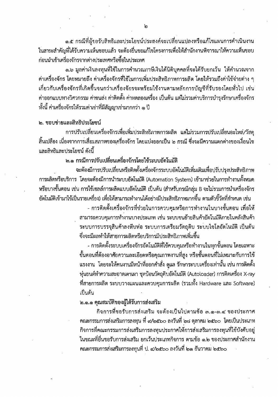๑.๕ กรณีที่ผู้ขอรับสิทธิและประโยชน์ประสงค์จะเปลี่ยนแปลงหรือแก้ไขแผนการดำเนินงาน ในสาระสำคัญที่ได้รับความเห็นชอบแล้ว จะต้องยื่นขอแก้ไขโครงการเพื่อให้สำนักงานพิจารณาให้ความเห็นขอบ ก่อนนำเข้าเครื่องจักรจากต่างประเทศหรือซื้อในประเทศ

ึด.อ มูลค่าเงินลงทุนที่ใช้ในการคำนวณภาษีเงินได้นิติบุคคลที่จะได้รับยกเว้น ให้คำนวณจาก ้ค่าเครื่องจักร โดยหมายถึง ค่าเครื่องจักรที่ใช้ในการเพิ่มประสิทธิภาพการผลิต โดยให้รวมถึงค่าใช้จ่ายต่าง ๆ ้เกี่ยวกับเครื่องจักรที่เกิดขึ้นจนกว่าเครื่องจักรจะพร้อมใช้งานตามหลักการบัญชีที่รับรองโดยทั่วไป เช่น ้ค่าออกแบบทางวิศวกรรม ค่าขนส่ง ค่าติดตั้ง ค่าทดลองเครื่อง เป็นต้น แต่ไม่รวมค่าบริการบำรุงรักษาเครื่องจักร ทั้งนี้ ค่าเครื่องจักรให้รวมค่าเช่าที่มีสัญญาเช่ามากกว่า ๑ ปี

#### ๒. ขอบข่ายและสิทธิประโยชน์

การปรับเปลี่ยนเครื่องจักรเพื่อเพิ่มประสิทธิภาพการผลิต แต่ไม่รวมการปรับเปลี่ยนอะไหล่/วัสดุ ้สิ้นเปลือง เนื่องจากการเสื่อมสภาพของเครื่องจักร โดยแบ่งออกเป็น ๒ กรณี ซึ่งจะมีความแตกต่างของเงื่อนไข และสิทธิและประโยชน์ ดังนี้

# ๒.๑ กรณีการปรับเปลี่ยนเครื่องจักรโดยใช้ระบบอัตโนมัติ

จะต้องมีการปรับเปลี่ยนหรือติดตั้งเครื่องจักรระบบอัตโนมัติเพิ่มเติมเพื่อปรับปรุงประสิทธิภาพ การผลิตหรือบริการ โดยจะต้องมีการนำระบบอัตโนมัติ (Automation System) เข้ามาช่วยในการทำงานทั้งหมด หรือบางขั้นตอน เช่น การใช้เซลล์การผลิตแบบอัตโนมัติ เป็นต้น (สำหรับกรณีกลุ่ม B จะไม่รวมการนำเครื่องจักร ้อัตโนมัติเข้ามาใช้เป็นรายเครื่อง) เพื่อให้สามารถทำงานได้อย่างมีประสิทธิภาพมากขึ้น ตามตัวขี้วัดที่กำหนด เช่น

> - การติดตั้งเครื่องจักรที่ช่วยในการควบคุมหรือการทำงานในบางขั้นตอน เพื่อให้ สามารถควบคุมการทำงานบางประเภท เช่น ระบบขนย้ายสินค้าอัตโนมัติภายในคลังสินค้า ระบบการบรรจุสินค้าลงหีบห่อ ระบบการเตรียมวัตถุดิบ ระบบไซโลอัตโนมัติ เป็นต้น ์ ซึ่งจะมีผลทำให้สายการผลิตหรือบริการมีประสิทธิภาพเพิ่มขึ้น

> - การติดตั้งระบบเครื่องจักรอัตโนมัติที่ใช้ควบคุมหรือทำงานในทุกขั้นตอน โดยเฉพาะ ์ ขั้นตอนที่ต้องอาศัยความละเอียดหรือคุณภาพงานที่สูง หรือขั้นตอนที่ไม่เหมาะกับการใช้ แรงงาน โดยจะให้คนงานมีหน้าที่ออกคำสั่ง ดูแล รักษาระบบเครื่องเท่านั้น เช่น การติดตั้ง หุ่นยนต์ทำความสะอาดเตาเผา ชุดป้อนวัตถุดิบอัตโนมัติ (Autoloader) การติดเครื่อง X-ray ที่สายการผลิต ระบบวางแผนและควบคุมการผลิต (รวมทั้ง Hardware และ Software) เป็นต้น

ิ ๒.๑.๑ คุณสมบัติของผู้ได้รับการส่งเสริม

กิจการที่ขอรับการส่งเสริม จะต้องเป็นไปตามข้อ ๓.๑-๓.๔ ของประกาศ คณะกรรมการส่งเสริมการลงทุน ที่ ๙/๒๕๖๐ ลงวันที่ ๒๘ ตุลาคม ๒๕๖๐ โดยเป็นประเภท ้กิจการที่คณะกรรมการส่งเสริมการลงทุนประกาศให้การส่งเสริมการลงทุนที่ใช้บังคับอยู่ ในขณะที่ยื่นขอรับการส่งเสริม ยกเว้นประเภทกิจการ ตามข้อ ๑.๒ ของประกาศสำนักงาน คณะกรรมการส่งเสริมการลงทุนที่ ป. ๔/๒๕๖๐ ลงวันที่ ๒๑ ธันวาคม ๒๕๖๐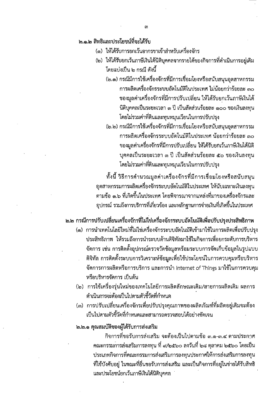### ๒.๑.๒ สิทธิและประโยชน์ที่จะได้รับ

- (๑) ให้ได้รับการยกเว้นอากรขาเข้าสำหรับเครื่องจักร
- (๒) ให้ได้รับยกเว้นภาษีเงินได้นิติบุคคลจากรายได้ของกิจการที่ดำเนินการอยู่เดิม โดยแบ่งเป็น ๒ กรณี ดังนี้
	- (๒.๑) กรณีมีการใช้เครื่องจักรที่มีการเชื่อมโยงหรือสนับสนุนอุตสาหกรรม การผลิตเครื่องจักรระบบอัตโนมัติในประเทศ ไม่น้อยกว่าร้อยละ ๓๐ ของมูลค่าเครื่องจักรที่มีการปรับเปลี่ยน ให้ได้รับยกเว้นภาษีเงินได้ นิติบุคคลเป็นระยะเวลา ๓ ปี เป็นสัดส่วนร้อยละ ๑๐๐ ของเงินลงทุน โดยไม่รวมค่าที่ดินและทุนหมุนเวียนในการปรับปรุง
	- (๒.๒) กรณีมีการใช้เครื่องจักรที่มีการเชื่อมโยงหรือสนับสนุนอุตสาหกรรม การผลิตเครื่องจักรระบบอัตโนมัติในประเทศ น้อยกว่าร้อยละ ๓๐ ของมูลค่าเครื่องจักรที่มีการปรับเปลี่ยน ให้ได้รับยกเว้นภาษีเงินได้นิติ บุคคลเป็นระยะเวลา ๓ ปี เป็นสัดส่วนร้อยละ ๕๐ ของเงินลงทุน โดยไม่รวมค่าที่ดินและทุนหมุนเวียนในการปรับปรุง

ทั้งนี้ วิธีการคำนวณมูลค่าเครื่องจักรที่มีการเชื่อมโยงหรือสนับสนุน อุตสาหกรรมการผลิตเครื่องจักรระบบอัตโนมัติในประเทศ ให้นับเฉพาะเงินลงทุน ตามข้อ ๑.๖ ที่เกิดขึ้นในประเทศ โดยพิจารณาจากแหล่งที่มาของเครื่องจักรและ อุปกรณ์ รวมถึงการบริการที่เกี่ยวข้อง และหลักฐานการจ่ายเงินที่เกิดขึ้นในประเทศ

# ๒.๒ กรณีการปรับเปลี่ยนเครื่องจักรที่ไม่ใช่เครื่องจักรระบบอัตโนมัติเพื่อปรับปรุงประสิทธิภาพ

- (๑) การนำเทคโนโลยีใหม่ที่ไม่ใช่เครื่องจักรระบบอัตโนมัติเข้ามาใช้ในการผลิตเพื่อปรับปรุง ประสิทธิภาพ ให้รวมถึงการนำระบบด้านดิจิทัลมาใช้ในกิจการเพื่อยกระดับการบริหาร จัดการ เช่น การติดตั้งอุปกรณ์ตรวจวัดข้อมูลพร้อมระบบการจัดเก็บข้อมูลในรูปแบบ ดิจิทัล การติดตั้งระบบการวิเคราะห์ข้อมูลเพื่อใช้ประโยชน์ในการควบคุมหรือบริหาร จัดการการผลิตหรือการบริการ และการนำ Internet of Things มาใช้ในการควบคุม หรือบริหารจัดการ เป็นต้น
- (๒) การใช้เครื่องรุ่นใหม่ของเทคโนโลยีการผลิตลักษณะเดิม/สายการผลิตเดิม ผลการ ดำเนินการจะต้องเป็นไปตามตัวชี้วัดที่กำหนด
- (๓) การปรับเปลี่ยนเครื่องจักรเพื่อปรับปรุงคุณภาพของผลิตภัณฑ์ที่ผลิตอยู่เดิมจะต้อง เป็นไปตามตัวซี้วัดที่กำหนดและสามารถตรวจสอบได้อย่างชัดเจน

#### ๒.๒.๑ คุณสมบัติของผู้ได้รับการส่งเสริม

กิจการที่ขอรับการส่งเสริม จะต้องเป็นไปตามข้อ ๓.๑-๓.๔ ตามประกาศ คณะกรรมการส่งเสริมการลงทุน ที่ ๙/๒๕๖๐ ลงวันที่ ๒๘ ตุลาคม ๒๕๖๐ โดยเป็น ประเภทกิจการที่คณะกรรมการส่งเสริมการลงทุนประกาศให้การส่งเสริมการลงทุน ้ที่ใช้บังคับอยู่ ในขณะที่ยื่นขอรับการส่งเสริม และเป็นกิจการที่อยู่ในข่ายได้รับสิทธิ และประโยชน์ยกเว้นภาษีเงินได้นิติบุคคล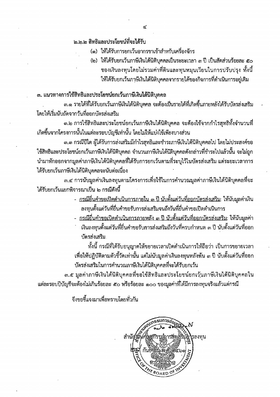### ๒.๒.๒ สิทธิและประโยชน์ที่จะได้รับ

(๑) ให้ได้รับการยกเว้นอากรขาเข้าสำหรับเครื่องจักร

(๒) ให้ได้รับยกเว้นภาษีเงินได้นิติบุคคลเป็นระยะเวลา ๓ ปี เป็นสัดส่วนร้อยละ ๕๐ ของเงินลงทุนโดยไม่รวมค่าที่ดินและทุนหมุนเวียนในการปรับปรุง ทั้งนี้ ให้ได้รับยกเว้นภาษีเงินได้นิติบุคคลจากรายได้ของกิจการที่ดำเนินการอยู่เดิม

### .๓. แนวทางการใช้สิทธิและประโยชน์ยกเว้นภาษีเงินได้นิติบุคคล

๓.๑ รายได้ที่ได้รับยกเว้นภาษีเงินได้นิติบุคคล จะต้องเป็นรายได้ที่เกิดขึ้นภายหลังได้รับบัตรส่งเสริม โดยให้เริ่มนับถัดจากวันที่ออกบัตรส่งเสริม

.๓.๒ การใช้สิทธิและประโยชน์ยกเว้นภาษีเงินได้นิติบุคคล จะต้องใช้จากกำไรสุทธิทั้งจำนวนที่ เกิดขึ้นจากโครงการนั้นในแต่ละรอบบัญชีเท่านั้น โดยไม่ให้แบ่งใช้เพียงบางส่วน

.๓.๓ กรณีปีใด ผู้ได้รับการส่งเสริมมีกำไรสุทธิและชำระภาษีเงินได้นิติบุคคลไป โดยไม่ประสงค์ขอ ใช้สิทธิและประโยชน์ยกเว้นภาษีเงินได้นิติบุคคล จำนวนภาษีเงินได้นิติบุคคลดังกล่าวที่ชำระไปแล้วนั้น จะไม่ถูก นำมาหักออกจากมูลค่าภาษีเงินได้นิติบุคคลที่ได้รับการยกเว้นตามที่ระบุไว้ในบัตรส่งเสริม แต่ระยะเวลาการ ได้รับยกเว้นภาษีเงินได้นิติบุคคลจะนับต่อเนื่อง

.๓.๔ การนับมูลค่าเงินลงทุนตามโครงการเพื่อใช้ในการคำนวณมูลค่าภาษีเงินได้นิติบุคคลที่จะ ได้รับยกเว้นแยกพิจารณาเป็น ๒ กรณีดังนี้

- <u>- กรณียื่นคำขอเปิดดำเนินการภายใน ๓ ปี นับตั้งแต่วันที่ออกบัตรส่งเสริม</u>: ให้นับมูลค่าเงิน ลงทุนตั้งแต่วันที่ยื่นคำขอรับการส่งเสริมจนถึงวันที่ยื่นคำขอเปิดดำเนินการ
- <u>- กรณียื่นคำขอเปิดดำเนินการภายหลัง ๓ ปี นับตั้งแต่วันที่ออกบัตรส่งเสริม</u>: ให้นับมูลค่า เงินลงทุนตั้งแต่วันที่ยื่นคำขอรับการส่งเสริมถึงวันที่ครบกำหนด ๓ ปี นับตั้งแต่วันที่ออก
	- บัตรส่งเสริม

ทั้งนี้ กรณีที่ได้รับอนุญาตให้ขยายเวลาเปิดดำเนินการให้ถือว่า เป็นการขยายเวลา เพื่อให้ปฏิบัติตามตัวชี้วัดเท่านั้น แต่ไม่นับมูลค่าเงินลงทุนหลังพ้น ๓ ปี นับตั้งแต่วันที่ออก บัตรส่งเสริมในการคำนวณภาษีเงินได้นิติบุคคลที่จะได้รับยกเว้น

.๓.๕ มูลค่าภาษีเงินได้นิติบุคคลที่ขอใช้สิทธิและประโยชน์ยกเว้นภาษีเงินได้นิติบุคคลใน แต่ละรอบปีบัญชีจะต้องไม่เกินร้อยละ ๕๐ หรือร้อยละ ๑๐๐ ของมูลค่าที่ได้มีการลงทุนจริงแล้วแต่กรณี

จึงขอขึ้นจงมาเพื่อทราบโดยทั่วกัน

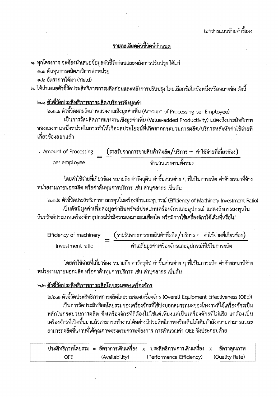# รายละเอียดตัวขี้วัดที่กำหนด

๑. ทุกโครงการ จะต้องนำเสนอข้อมูลตัวชี้วัดก่อนและหลังการปรับปรง ได้แก่ ๑.๑ ต้นทุนการผลิต/บริการต่อหน่วย ๑.๒ อัตราการได้มา (Yield)

๒. ให้นำเสนอตัวขี้วัดประสิทธิภาพการผลิตก่อนและหลังการปรับปรุง โดยเลือกข้อใดข้อหนึ่งหรือหลายข้อ ดังนี้

๒.๑ <u>ตัวขึ้วัดประสิทธิภาพการผลิต/บริการเชิงมูลค่า</u>

๒.๑.๑ ตัวขี้วัดผลผลิตภาพแรงงานเชิงมูลค่าเพิ่ม (Amount of Processing per Employee)

เป็นการวัดผลิตภาพแรงงานเชิงมูลค่าเพิ่ม (Value-added Productivity) แสดงถึงประสิทธิภาพ ของแรงงานหนึ่งหน่วยในการทำให้เกิดผลประโยชน์ที่เกิดจากกระบวนการผลิต/บริการหลังหักค่าใช้จ่ายที่ เกี่ยวข้องออกแล้ว

| Amount of Processing | (รายรับจากการขายสินค้าที่ผลิต/บริการ — ค่าใช้จ่ายที่เกี่ยวข้อง) |  |
|----------------------|-----------------------------------------------------------------|--|
| per employee         | จำนวนแรงงานทั้งหมด                                              |  |

โดยค่าใช้จ่ายที่เกี่ยวข้อง หมายถึง ค่าวัตถุดิบ ค่าชิ้นส่วนต่าง ๆ ที่ใช้ในการผลิต ค่าจ้างเหมาที่จ้าง หน่วยงานภายนอกผลิต หรือค่าต้นทุนการบริการ เช่น ค่าบุคลากร เป็นต้น

๒.๑.๒ ตัวขี้วัดประสิทธิภาพการลงทุนในเครื่องจักรและอุปกรณ์ (Efficiency of Machinery Investment Ratio) เป็นดัชนีมูลค่าเพิ่มต่อมูลค่าสินทรัพย์ประเภทเครื่องจักรและอุปกรณ์ แสดงถึงการลงทุนใน สินทรัพย์ประเภทเครื่องจักรอุปกรณ์ว่ามีความเหมาะสมเพียงใด หรือมีการใช้เครื่องจักรได้เต็มที่หรือไม่

Efficiency of machinery investment ratio

โดยค่าใช้จ่ายที่เกี่ยวข้อง หมายถึง ค่าวัตถุติบ ค่าขึ้นส่วนต่าง ๆ ที่ใช้ในการผลิต ค่าจ้างเหมาที่จ้าง หน่วยงานภายนอกผลิต หรือค่าต้นทุนการบริการ เช่น ค่าบุคลากร เป็นต้น

## ิ๒.๒ ตัวขี้วัดประสิทธิภาพการผลิตโดยรวมของเครื่องจักร

๒.๒.๑ ตัวชี้วัดประสิทธิภาพการผลิตโดยรวมของเครื่องจักร (Overall Equipment Effectiveness (OEE)) เป็นการวัดประสิทธิผลโดยรวมของเครื่องจักรที่ใช้บ่งบอกสมรรถนะของโรงงานที่ใช้เครื่องจักรเป็น หลักในกระบวนการผลิต ซึ่งเครื่องจักรที่ดีต้องไม่ใช่แต่เพียงแค่เป็นเครื่องจักรที่ไม่เสีย แต่ต้องเป็น เครื่องจักรที่เปิดขึ้นมาแล้วสามารถทำงานได้อย่างมีประสิทธิภาพหรือเดินได้เต็มกำลังความสามารถและ ี่สามารถผลิตชิ้นงานที่ได้คุณภาพตรงตามความต้องการ การคำนวณค่า OEE จึงประกอบด้วย

ประสิทธิภาพโดยรวม = อัตราการเดินเครื่อง x ประสิทธิภาพการเดินเครื่อง อัตราคุณภาพ  $\overline{\mathsf{x}}$ (Availability) (Performance Efficiency) (Quality Rate) **OEE**